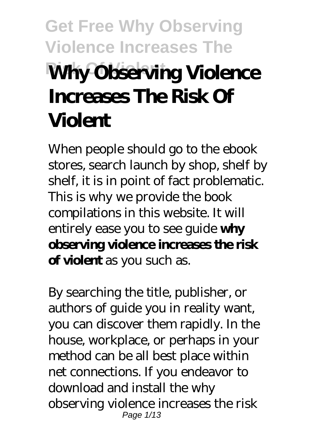# **Get Free Why Observing Violence Increases The Why Observing Violence Increases The Risk Of Violent**

When people should go to the ebook stores, search launch by shop, shelf by shelf, it is in point of fact problematic. This is why we provide the book compilations in this website. It will entirely ease you to see guide **why observing violence increases the risk of violent** as you such as.

By searching the title, publisher, or authors of guide you in reality want, you can discover them rapidly. In the house, workplace, or perhaps in your method can be all best place within net connections. If you endeavor to download and install the why observing violence increases the risk Page 1/13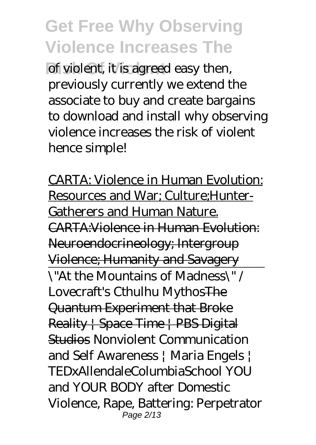of violent, it is agreed easy then, previously currently we extend the associate to buy and create bargains to download and install why observing violence increases the risk of violent hence simple!

CARTA: Violence in Human Evolution: Resources and War; Culture;Hunter-Gatherers and Human Nature. CARTA:Violence in Human Evolution: Neuroendocrineology; Intergroup Violence; Humanity and Savagery \"At the Mountains of Madness\" / Lovecraft's Cthulhu MythosThe Quantum Experiment that Broke Reality | Space Time | PBS Digital Studios *Nonviolent Communication and Self Awareness | Maria Engels | TEDxAllendaleColumbiaSchool YOU and YOUR BODY after Domestic Violence, Rape, Battering: Perpetrator* Page  $2/13$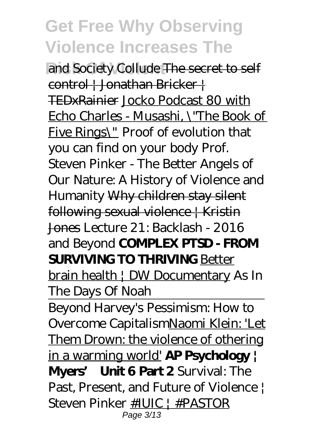and Society Collude The secret to self control | Jonathan Bricker | TEDxRainier Jocko Podcast 80 with Echo Charles - Musashi, \"The Book of Five Rings\" *Proof of evolution that you can find on your body Prof. Steven Pinker - The Better Angels of Our Nature: A History of Violence and Humanity* Why children stay silent following sexual violence | Kristin Jones *Lecture 21: Backlash - 2016 and Beyond* **COMPLEX PTSD - FROM SURVIVING TO THRIVING** Better brain health | DW Documentary As In The Days Of Noah Beyond Harvey's Pessimism: How to Overcome CapitalismNaomi Klein: 'Let Them Drown: the violence of othering in a warming world' **AP Psychology | Myers' Unit 6 Part 2** *Survival: The Past, Present, and Future of Violence | Steven Pinker* #IUIC | #PASTOR Page 3/13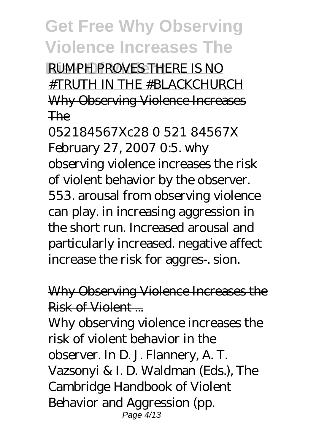**RIMPH PROVES THERE IS NO** #TRUTH IN THE #BLACKCHURCH Why Observing Violence Increases The

052184567Xc28 0 521 84567X February 27, 2007 0:5. why observing violence increases the risk of violent behavior by the observer. 553. arousal from observing violence can play. in increasing aggression in the short run. Increased arousal and particularly increased. negative affect increase the risk for aggres-. sion.

Why Observing Violence Increases the Risk of Violent

Why observing violence increases the risk of violent behavior in the observer. In D. J. Flannery, A. T. Vazsonyi & I. D. Waldman (Eds.), The Cambridge Handbook of Violent Behavior and Aggression (pp. Page 4/13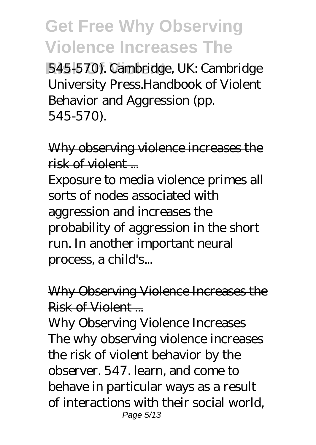545-570). Cambridge, UK: Cambridge University Press.Handbook of Violent Behavior and Aggression (pp. 545-570).

Why observing violence increases the  $risk$  of violent  $\blacksquare$ 

Exposure to media violence primes all sorts of nodes associated with aggression and increases the probability of aggression in the short run. In another important neural process, a child's...

Why Observing Violence Increases the Risk of Violent

Why Observing Violence Increases The why observing violence increases the risk of violent behavior by the observer. 547. learn, and come to behave in particular ways as a result of interactions with their social world, Page 5/13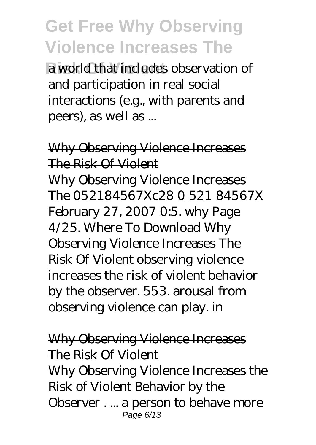**Risk Of Violent** a world that includes observation of and participation in real social interactions (e.g., with parents and peers), as well as ...

#### Why Observing Violence Increases The Risk Of Violent Why Observing Violence Increases

The 052184567Xc28 0 521 84567X February 27, 2007 0:5. why Page 4/25. Where To Download Why Observing Violence Increases The Risk Of Violent observing violence increases the risk of violent behavior by the observer. 553. arousal from observing violence can play. in

#### Why Observing Violence Increases The Risk Of Violent

Why Observing Violence Increases the Risk of Violent Behavior by the Observer . ... a person to behave more Page 6/13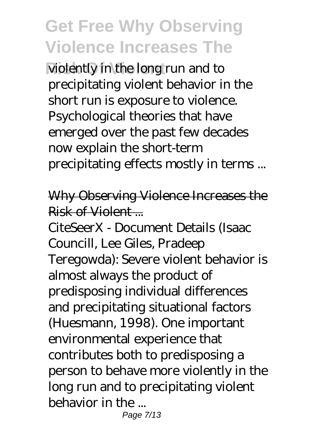violently in the long run and to precipitating violent behavior in the short run is exposure to violence. Psychological theories that have emerged over the past few decades now explain the short-term precipitating effects mostly in terms ...

#### Why Observing Violence Increases the Risk of Violent

CiteSeerX - Document Details (Isaac Councill, Lee Giles, Pradeep Teregowda): Severe violent behavior is almost always the product of predisposing individual differences and precipitating situational factors (Huesmann, 1998). One important environmental experience that contributes both to predisposing a person to behave more violently in the long run and to precipitating violent behavior in the ...

Page 7/13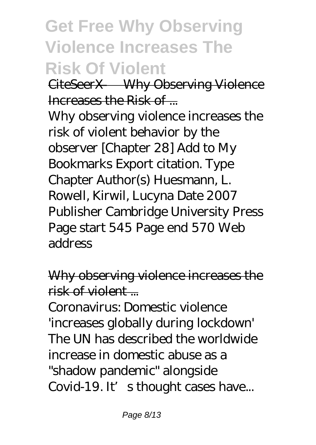# **Get Free Why Observing Violence Increases The Risk Of Violent**

CiteSeerX — Why Observing Violence Increases the Risk of ...

Why observing violence increases the risk of violent behavior by the observer [Chapter 28] Add to My Bookmarks Export citation. Type Chapter Author(s) Huesmann, L. Rowell, Kirwil, Lucyna Date 2007 Publisher Cambridge University Press Page start 545 Page end 570 Web address

Why observing violence increases the  $right <sub>of violation</sub>$ 

Coronavirus: Domestic violence 'increases globally during lockdown' The UN has described the worldwide increase in domestic abuse as a "shadow pandemic" alongside Covid-19. It's thought cases have...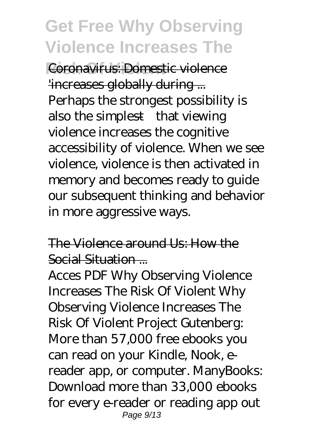**Coronavirus: Domestic violence** 'increases globally during ... Perhaps the strongest possibility is also the simplest—that viewing violence increases the cognitive accessibility of violence. When we see violence, violence is then activated in memory and becomes ready to guide our subsequent thinking and behavior in more aggressive ways.

The Violence around Us: How the Social Situation ...

Acces PDF Why Observing Violence Increases The Risk Of Violent Why Observing Violence Increases The Risk Of Violent Project Gutenberg: More than 57,000 free ebooks you can read on your Kindle, Nook, ereader app, or computer. ManyBooks: Download more than 33,000 ebooks for every e-reader or reading app out Page 9/13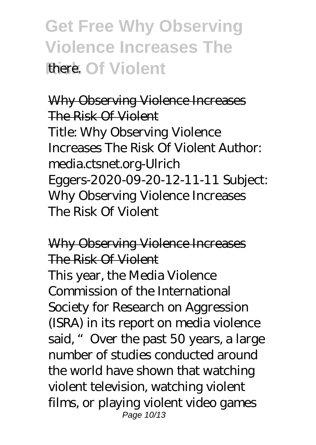**Get Free Why Observing Violence Increases The Risk Of Violent** 

Why Observing Violence Increases The Risk Of Violent Title: Why Observing Violence Increases The Risk Of Violent Author: media.ctsnet.org-Ulrich Eggers-2020-09-20-12-11-11 Subject: Why Observing Violence Increases The Risk Of Violent

Why Observing Violence Increases The Risk Of Violent

This year, the Media Violence Commission of the International Society for Research on Aggression (ISRA) in its report on media violence said, "Over the past 50 years, a large number of studies conducted around the world have shown that watching violent television, watching violent films, or playing violent video games Page 10/13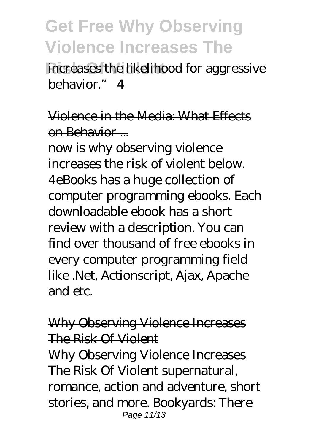increases the likelihood for aggressive behavior." 4

Violence in the Media: What Effects on Behavior ...

now is why observing violence increases the risk of violent below. 4eBooks has a huge collection of computer programming ebooks. Each downloadable ebook has a short review with a description. You can find over thousand of free ebooks in every computer programming field like .Net, Actionscript, Ajax, Apache and etc.

#### Why Observing Violence Increases The Risk Of Violent

Why Observing Violence Increases The Risk Of Violent supernatural, romance, action and adventure, short stories, and more. Bookyards: There Page 11/13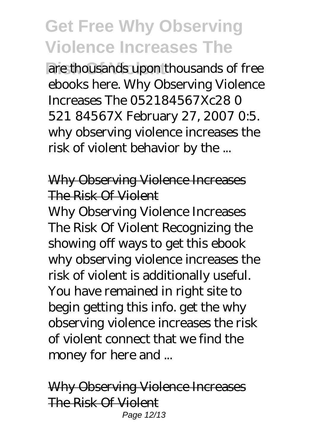are thousands upon thousands of free ebooks here. Why Observing Violence Increases The 052184567Xc28 0 521 84567X February 27, 2007 0:5. why observing violence increases the risk of violent behavior by the ...

#### Why Observing Violence Increases The Risk Of Violent

Why Observing Violence Increases The Risk Of Violent Recognizing the showing off ways to get this ebook why observing violence increases the risk of violent is additionally useful. You have remained in right site to begin getting this info. get the why observing violence increases the risk of violent connect that we find the money for here and ...

Why Observing Violence Increases The Risk Of Violent Page 12/13